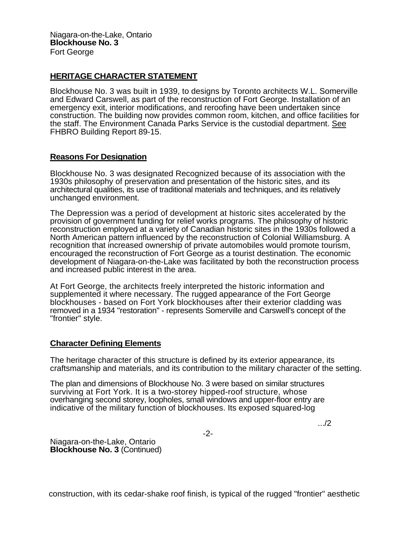Niagara-on-the-Lake, Ontario **Blockhouse No. 3**  Fort George

## **HERITAGE CHARACTER STATEMENT**

Blockhouse No. 3 was built in 1939, to designs by Toronto architects W.L. Somerville and Edward Carswell, as part of the reconstruction of Fort George. Installation of an emergency exit, interior modifications, and reroofing have been undertaken since construction. The building now provides common room, kitchen, and office facilities for the staff. The Environment Canada Parks Service is the custodial department. See FHBRO Building Report 89-15.

## **Reasons For Designation**

Blockhouse No. 3 was designated Recognized because of its association with the 1930s philosophy of preservation and presentation of the historic sites, and its architectural qualities, its use of traditional materials and techniques, and its relatively unchanged environment.

The Depression was a period of development at historic sites accelerated by the provision of government funding for relief works programs. The philosophy of historic reconstruction employed at a variety of Canadian historic sites in the 1930s followed a North American pattern influenced by the reconstruction of Colonial Williamsburg. A recognition that increased ownership of private automobiles would promote tourism, encouraged the reconstruction of Fort George as a tourist destination. The economic development of Niagara-on-the-Lake was facilitated by both the reconstruction process and increased public interest in the area.

At Fort George, the architects freely interpreted the historic information and supplemented it where necessary. The rugged appearance of the Fort George blockhouses - based on Fort York blockhouses after their exterior cladding was removed in a 1934 "restoration" - represents Somerville and Carswell's concept of the "frontier" style.

## **Character Defining Elements**

The heritage character of this structure is defined by its exterior appearance, its craftsmanship and materials, and its contribution to the military character of the setting.

The plan and dimensions of Blockhouse No. 3 were based on similar structures surviving at Fort York. It is a two-storey hipped-roof structure, whose overhanging second storey, loopholes, small windows and upper-floor entry are indicative of the military function of blockhouses. Its exposed squared-log

.../2

-2-

Niagara-on-the-Lake, Ontario **Blockhouse No. 3** (Continued)